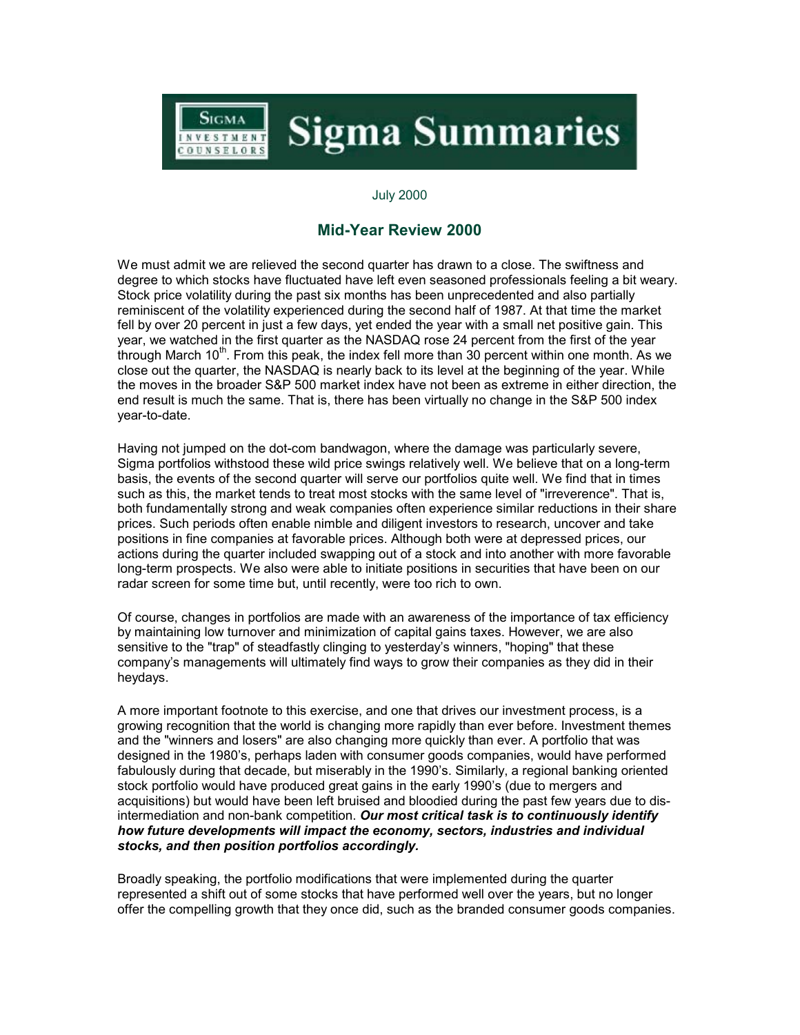## **Sigma Summaries** NVESTMENT COUNSELORS

## July 2000

Sigma

## **Mid-Year Review 2000**

We must admit we are relieved the second quarter has drawn to a close. The swiftness and degree to which stocks have fluctuated have left even seasoned professionals feeling a bit weary. Stock price volatility during the past six months has been unprecedented and also partially reminiscent of the volatility experienced during the second half of 1987. At that time the market fell by over 20 percent in just a few days, yet ended the year with a small net positive gain. This year, we watched in the first quarter as the NASDAQ rose 24 percent from the first of the year through March 10 $^{\text{th}}$ . From this peak, the index fell more than 30 percent within one month. As we close out the quarter, the NASDAQ is nearly back to its level at the beginning of the year. While the moves in the broader S&P 500 market index have not been as extreme in either direction, the end result is much the same. That is, there has been virtually no change in the S&P 500 index year-to-date.

Having not jumped on the dot-com bandwagon, where the damage was particularly severe, Sigma portfolios withstood these wild price swings relatively well. We believe that on a long-term basis, the events of the second quarter will serve our portfolios quite well. We find that in times such as this, the market tends to treat most stocks with the same level of "irreverence". That is, both fundamentally strong and weak companies often experience similar reductions in their share prices. Such periods often enable nimble and diligent investors to research, uncover and take positions in fine companies at favorable prices. Although both were at depressed prices, our actions during the quarter included swapping out of a stock and into another with more favorable long-term prospects. We also were able to initiate positions in securities that have been on our radar screen for some time but, until recently, were too rich to own.

Of course, changes in portfolios are made with an awareness of the importance of tax efficiency by maintaining low turnover and minimization of capital gains taxes. However, we are also sensitive to the "trap" of steadfastly clinging to yesterday's winners, "hoping" that these company's managements will ultimately find ways to grow their companies as they did in their heydays.

A more important footnote to this exercise, and one that drives our investment process, is a growing recognition that the world is changing more rapidly than ever before. Investment themes and the "winners and losers" are also changing more quickly than ever. A portfolio that was designed in the 1980's, perhaps laden with consumer goods companies, would have performed fabulously during that decade, but miserably in the 1990's. Similarly, a regional banking oriented stock portfolio would have produced great gains in the early 1990's (due to mergers and acquisitions) but would have been left bruised and bloodied during the past few years due to disintermediation and non-bank competition. *Our most critical task is to continuously identify how future developments will impact the economy, sectors, industries and individual stocks, and then position portfolios accordingly.*

Broadly speaking, the portfolio modifications that were implemented during the quarter represented a shift out of some stocks that have performed well over the years, but no longer offer the compelling growth that they once did, such as the branded consumer goods companies.